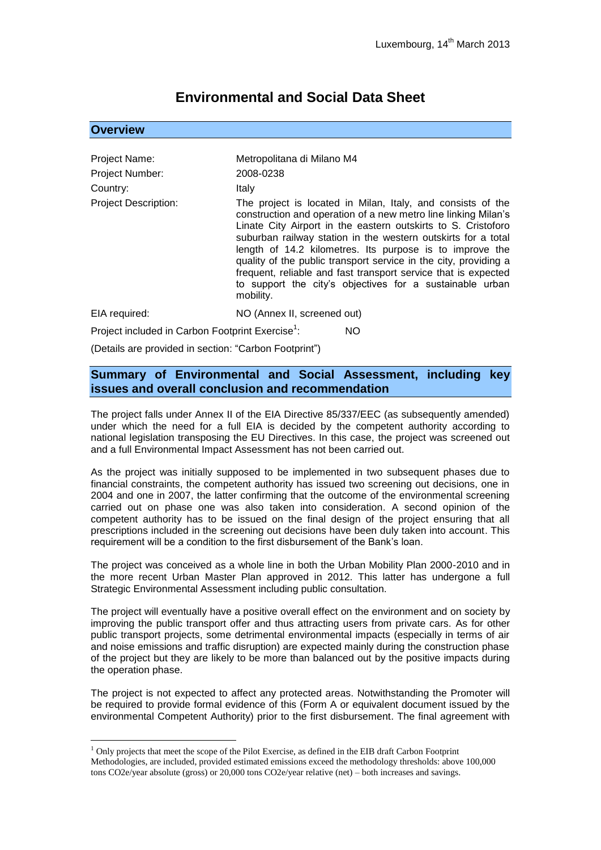# **Environmental and Social Data Sheet**

# **Overview**

1

| Project Name:                                                       | Metropolitana di Milano M4                                                                                                                                                                                                                                                                                                                                                                                                                                                                                                                 |
|---------------------------------------------------------------------|--------------------------------------------------------------------------------------------------------------------------------------------------------------------------------------------------------------------------------------------------------------------------------------------------------------------------------------------------------------------------------------------------------------------------------------------------------------------------------------------------------------------------------------------|
| <b>Project Number:</b>                                              | 2008-0238                                                                                                                                                                                                                                                                                                                                                                                                                                                                                                                                  |
| Country:                                                            | Italy                                                                                                                                                                                                                                                                                                                                                                                                                                                                                                                                      |
| <b>Project Description:</b>                                         | The project is located in Milan, Italy, and consists of the<br>construction and operation of a new metro line linking Milan's<br>Linate City Airport in the eastern outskirts to S. Cristoforo<br>suburban railway station in the western outskirts for a total<br>length of 14.2 kilometres. Its purpose is to improve the<br>quality of the public transport service in the city, providing a<br>frequent, reliable and fast transport service that is expected<br>to support the city's objectives for a sustainable urban<br>mobility. |
| EIA required:                                                       | NO (Annex II, screened out)                                                                                                                                                                                                                                                                                                                                                                                                                                                                                                                |
| Project included in Carbon Footprint Exercise <sup>1</sup> :<br>NO. |                                                                                                                                                                                                                                                                                                                                                                                                                                                                                                                                            |
| (Details are provided in section: "Carbon Footprint")               |                                                                                                                                                                                                                                                                                                                                                                                                                                                                                                                                            |

**Summary of Environmental and Social Assessment, including key** 

**issues and overall conclusion and recommendation**

The project falls under Annex II of the EIA Directive 85/337/EEC (as subsequently amended) under which the need for a full EIA is decided by the competent authority according to national legislation transposing the EU Directives. In this case, the project was screened out and a full Environmental Impact Assessment has not been carried out.

As the project was initially supposed to be implemented in two subsequent phases due to financial constraints, the competent authority has issued two screening out decisions, one in 2004 and one in 2007, the latter confirming that the outcome of the environmental screening carried out on phase one was also taken into consideration. A second opinion of the competent authority has to be issued on the final design of the project ensuring that all prescriptions included in the screening out decisions have been duly taken into account. This requirement will be a condition to the first disbursement of the Bank's loan.

The project was conceived as a whole line in both the Urban Mobility Plan 2000-2010 and in the more recent Urban Master Plan approved in 2012. This latter has undergone a full Strategic Environmental Assessment including public consultation.

The project will eventually have a positive overall effect on the environment and on society by improving the public transport offer and thus attracting users from private cars. As for other public transport projects, some detrimental environmental impacts (especially in terms of air and noise emissions and traffic disruption) are expected mainly during the construction phase of the project but they are likely to be more than balanced out by the positive impacts during the operation phase.

The project is not expected to affect any protected areas. Notwithstanding the Promoter will be required to provide formal evidence of this (Form A or equivalent document issued by the environmental Competent Authority) prior to the first disbursement. The final agreement with

 $<sup>1</sup>$  Only projects that meet the scope of the Pilot Exercise, as defined in the EIB draft Carbon Footprint</sup> Methodologies, are included, provided estimated emissions exceed the methodology thresholds: above 100,000 tons CO2e/year absolute (gross) or 20,000 tons CO2e/year relative (net) – both increases and savings.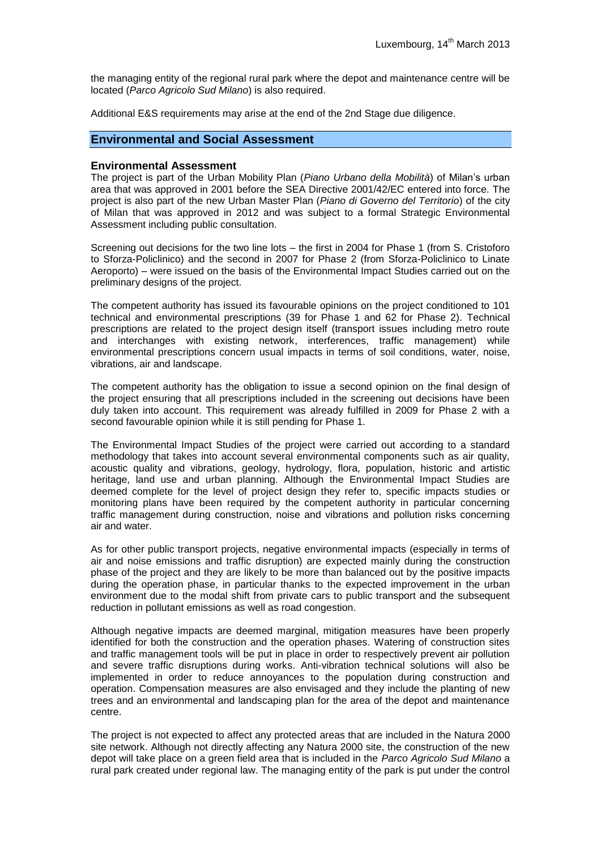the managing entity of the regional rural park where the depot and maintenance centre will be located (*Parco Agricolo Sud Milano*) is also required.

Additional E&S requirements may arise at the end of the 2nd Stage due diligence.

# **Environmental and Social Assessment**

#### **Environmental Assessment**

The project is part of the Urban Mobility Plan (*Piano Urbano della Mobilità*) of Milan's urban area that was approved in 2001 before the SEA Directive 2001/42/EC entered into force. The project is also part of the new Urban Master Plan (*Piano di Governo del Territorio*) of the city of Milan that was approved in 2012 and was subject to a formal Strategic Environmental Assessment including public consultation.

Screening out decisions for the two line lots – the first in 2004 for Phase 1 (from S. Cristoforo to Sforza-Policlinico) and the second in 2007 for Phase 2 (from Sforza-Policlinico to Linate Aeroporto) – were issued on the basis of the Environmental Impact Studies carried out on the preliminary designs of the project.

The competent authority has issued its favourable opinions on the project conditioned to 101 technical and environmental prescriptions (39 for Phase 1 and 62 for Phase 2). Technical prescriptions are related to the project design itself (transport issues including metro route and interchanges with existing network, interferences, traffic management) while environmental prescriptions concern usual impacts in terms of soil conditions, water, noise, vibrations, air and landscape.

The competent authority has the obligation to issue a second opinion on the final design of the project ensuring that all prescriptions included in the screening out decisions have been duly taken into account. This requirement was already fulfilled in 2009 for Phase 2 with a second favourable opinion while it is still pending for Phase 1.

The Environmental Impact Studies of the project were carried out according to a standard methodology that takes into account several environmental components such as air quality, acoustic quality and vibrations, geology, hydrology, flora, population, historic and artistic heritage, land use and urban planning. Although the Environmental Impact Studies are deemed complete for the level of project design they refer to, specific impacts studies or monitoring plans have been required by the competent authority in particular concerning traffic management during construction, noise and vibrations and pollution risks concerning air and water.

As for other public transport projects, negative environmental impacts (especially in terms of air and noise emissions and traffic disruption) are expected mainly during the construction phase of the project and they are likely to be more than balanced out by the positive impacts during the operation phase, in particular thanks to the expected improvement in the urban environment due to the modal shift from private cars to public transport and the subsequent reduction in pollutant emissions as well as road congestion.

Although negative impacts are deemed marginal, mitigation measures have been properly identified for both the construction and the operation phases. Watering of construction sites and traffic management tools will be put in place in order to respectively prevent air pollution and severe traffic disruptions during works. Anti-vibration technical solutions will also be implemented in order to reduce annoyances to the population during construction and operation. Compensation measures are also envisaged and they include the planting of new trees and an environmental and landscaping plan for the area of the depot and maintenance centre.

The project is not expected to affect any protected areas that are included in the Natura 2000 site network. Although not directly affecting any Natura 2000 site, the construction of the new depot will take place on a green field area that is included in the *Parco Agricolo Sud Milano* a rural park created under regional law. The managing entity of the park is put under the control